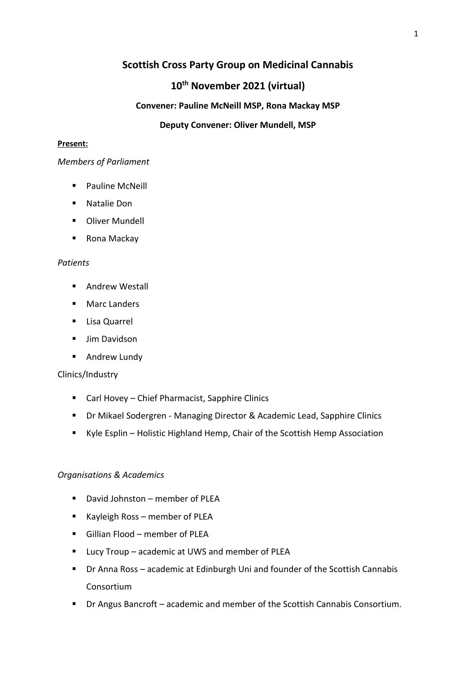# **Scottish Cross Party Group on Medicinal Cannabis**

# **10th November 2021 (virtual)**

# **Convener: Pauline McNeill MSP, Rona Mackay MSP**

# **Deputy Convener: Oliver Mundell, MSP**

#### **Present:**

#### *Members of Parliament*

- Pauline McNeill
- Natalie Don
- Oliver Mundell
- Rona Mackay

# *Patients*

- Andrew Westall
- Marc Landers
- Lisa Quarrel
- Jim Davidson
- Andrew Lundy

# Clinics/Industry

- Carl Hovey Chief Pharmacist, Sapphire Clinics
- Dr Mikael Sodergren Managing Director & Academic Lead, Sapphire Clinics
- Kyle Esplin Holistic Highland Hemp, Chair of the Scottish Hemp Association

# *Organisations & Academics*

- David Johnston member of PLEA
- Kayleigh Ross member of PLEA
- Gillian Flood member of PLEA
- Lucy Troup academic at UWS and member of PLEA
- Dr Anna Ross academic at Edinburgh Uni and founder of the Scottish Cannabis Consortium
- Dr Angus Bancroft academic and member of the Scottish Cannabis Consortium.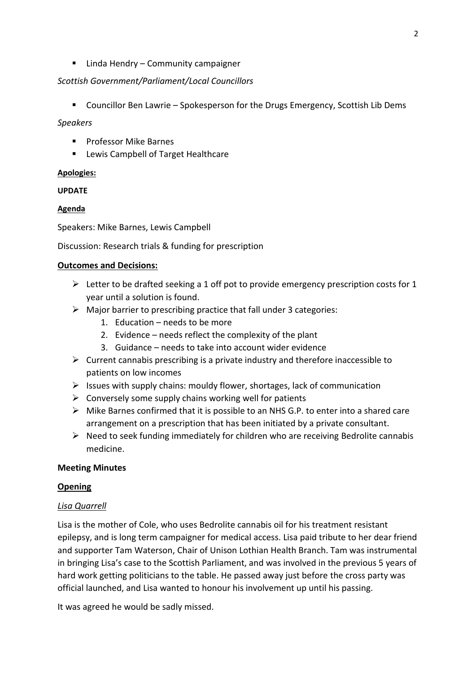■ Linda Hendry – Community campaigner

# *Scottish Government/Parliament/Local Councillors*

■ Councillor Ben Lawrie – Spokesperson for the Drugs Emergency, Scottish Lib Dems

### *Speakers*

- Professor Mike Barnes
- Lewis Campbell of Target Healthcare

# **Apologies:**

**UPDATE**

# **Agenda**

Speakers: Mike Barnes, Lewis Campbell

Discussion: Research trials & funding for prescription

#### **Outcomes and Decisions:**

- ➢ Letter to be drafted seeking a 1 off pot to provide emergency prescription costs for 1 year until a solution is found.
- ➢ Major barrier to prescribing practice that fall under 3 categories:
	- 1. Education needs to be more
	- 2. Evidence needs reflect the complexity of the plant
	- 3. Guidance needs to take into account wider evidence
- $\triangleright$  Current cannabis prescribing is a private industry and therefore inaccessible to patients on low incomes
- $\triangleright$  Issues with supply chains: mouldy flower, shortages, lack of communication
- $\triangleright$  Conversely some supply chains working well for patients
- $\triangleright$  Mike Barnes confirmed that it is possible to an NHS G.P. to enter into a shared care arrangement on a prescription that has been initiated by a private consultant.
- $\triangleright$  Need to seek funding immediately for children who are receiving Bedrolite cannabis medicine.

# **Meeting Minutes**

#### **Opening**

# *Lisa Quarrell*

Lisa is the mother of Cole, who uses Bedrolite cannabis oil for his treatment resistant epilepsy, and is long term campaigner for medical access. Lisa paid tribute to her dear friend and supporter Tam Waterson, Chair of Unison Lothian Health Branch. Tam was instrumental in bringing Lisa's case to the Scottish Parliament, and was involved in the previous 5 years of hard work getting politicians to the table. He passed away just before the cross party was official launched, and Lisa wanted to honour his involvement up until his passing.

It was agreed he would be sadly missed.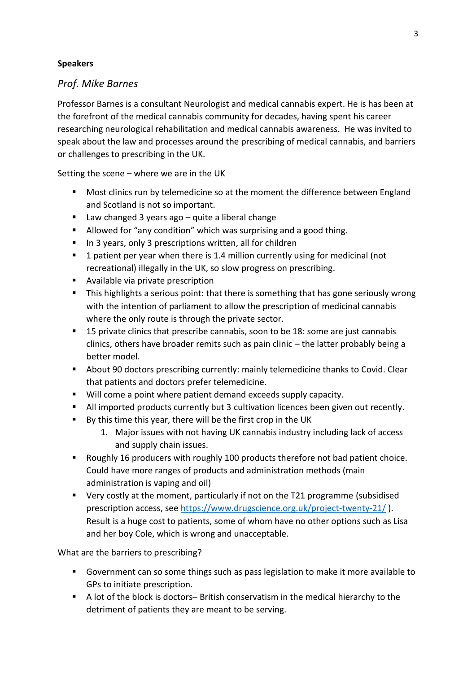# **Speakers**

# *Prof. Mike Barnes*

Professor Barnes is a consultant Neurologist and medical cannabis expert. He is has been at the forefront of the medical cannabis community for decades, having spent his career researching neurological rehabilitation and medical cannabis awareness. He was invited to speak about the law and processes around the prescribing of medical cannabis, and barriers or challenges to prescribing in the UK.

Setting the scene – where we are in the UK

- Most clinics run by telemedicine so at the moment the difference between England and Scotland is not so important.
- Law changed 3 years ago quite a liberal change
- Allowed for "any condition" which was surprising and a good thing.
- In 3 years, only 3 prescriptions written, all for children
- 1 patient per year when there is 1.4 million currently using for medicinal (not recreational) illegally in the UK, so slow progress on prescribing.
- Available via private prescription
- **•** This highlights a serious point: that there is something that has gone seriously wrong with the intention of parliament to allow the prescription of medicinal cannabis where the only route is through the private sector.
- 15 private clinics that prescribe cannabis, soon to be 18: some are just cannabis clinics, others have broader remits such as pain clinic – the latter probably being a better model.
- About 90 doctors prescribing currently: mainly telemedicine thanks to Covid. Clear that patients and doctors prefer telemedicine.
- Will come a point where patient demand exceeds supply capacity.
- All imported products currently but 3 cultivation licences been given out recently.
- By this time this year, there will be the first crop in the UK
	- 1. Major issues with not having UK cannabis industry including lack of access and supply chain issues.
- Roughly 16 producers with roughly 100 products therefore not bad patient choice. Could have more ranges of products and administration methods (main administration is vaping and oil)
- Very costly at the moment, particularly if not on the T21 programme (subsidised prescription access, see<https://www.drugscience.org.uk/project-twenty-21/> ). Result is a huge cost to patients, some of whom have no other options such as Lisa and her boy Cole, which is wrong and unacceptable.

What are the barriers to prescribing?

- Government can so some things such as pass legislation to make it more available to GPs to initiate prescription.
- A lot of the block is doctors– British conservatism in the medical hierarchy to the detriment of patients they are meant to be serving.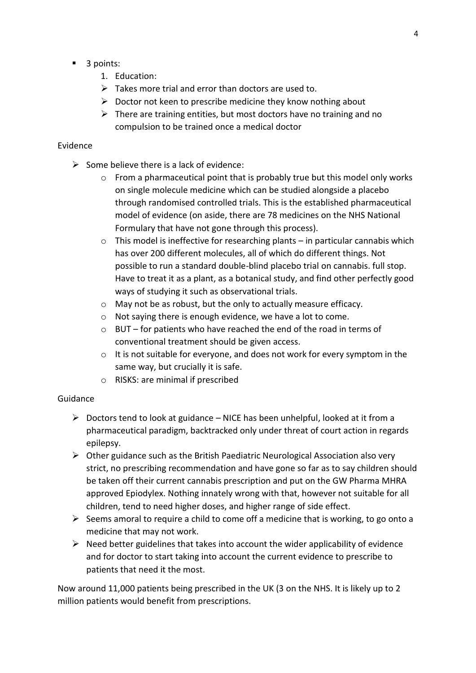- 3 points:
	- 1. Education:
	- $\triangleright$  Takes more trial and error than doctors are used to.
	- $\triangleright$  Doctor not keen to prescribe medicine they know nothing about
	- $\triangleright$  There are training entities, but most doctors have no training and no compulsion to be trained once a medical doctor

#### Evidence

- $\triangleright$  Some believe there is a lack of evidence:
	- $\circ$  From a pharmaceutical point that is probably true but this model only works on single molecule medicine which can be studied alongside a placebo through randomised controlled trials. This is the established pharmaceutical model of evidence (on aside, there are 78 medicines on the NHS National Formulary that have not gone through this process).
	- $\circ$  This model is ineffective for researching plants in particular cannabis which has over 200 different molecules, all of which do different things. Not possible to run a standard double-blind placebo trial on cannabis. full stop. Have to treat it as a plant, as a botanical study, and find other perfectly good ways of studying it such as observational trials.
	- o May not be as robust, but the only to actually measure efficacy.
	- o Not saying there is enough evidence, we have a lot to come.
	- o BUT for patients who have reached the end of the road in terms of conventional treatment should be given access.
	- o It is not suitable for everyone, and does not work for every symptom in the same way, but crucially it is safe.
	- o RISKS: are minimal if prescribed

#### Guidance

- $\triangleright$  Doctors tend to look at guidance NICE has been unhelpful, looked at it from a pharmaceutical paradigm, backtracked only under threat of court action in regards epilepsy.
- ➢ Other guidance such as the British Paediatric Neurological Association also very strict, no prescribing recommendation and have gone so far as to say children should be taken off their current cannabis prescription and put on the GW Pharma MHRA approved Epiodylex. Nothing innately wrong with that, however not suitable for all children, tend to need higher doses, and higher range of side effect.
- $\triangleright$  Seems amoral to require a child to come off a medicine that is working, to go onto a medicine that may not work.
- $\triangleright$  Need better guidelines that takes into account the wider applicability of evidence and for doctor to start taking into account the current evidence to prescribe to patients that need it the most.

Now around 11,000 patients being prescribed in the UK (3 on the NHS. It is likely up to 2 million patients would benefit from prescriptions.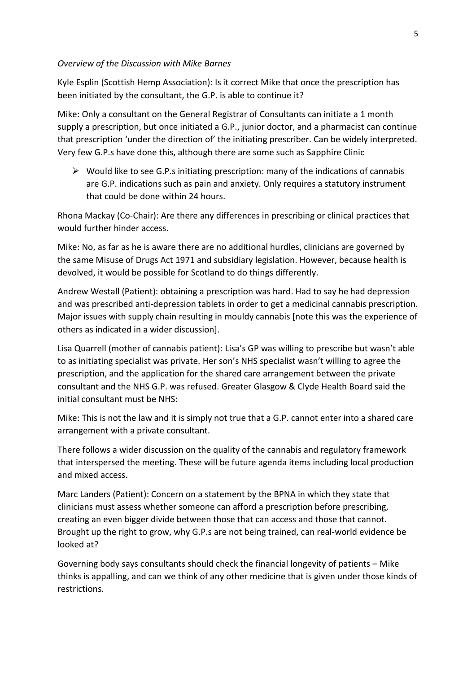#### *Overview of the Discussion with Mike Barnes*

Kyle Esplin (Scottish Hemp Association): Is it correct Mike that once the prescription has been initiated by the consultant, the G.P. is able to continue it?

Mike: Only a consultant on the General Registrar of Consultants can initiate a 1 month supply a prescription, but once initiated a G.P., junior doctor, and a pharmacist can continue that prescription 'under the direction of' the initiating prescriber. Can be widely interpreted. Very few G.P.s have done this, although there are some such as Sapphire Clinic

 $\triangleright$  Would like to see G.P.s initiating prescription: many of the indications of cannabis are G.P. indications such as pain and anxiety. Only requires a statutory instrument that could be done within 24 hours.

Rhona Mackay (Co-Chair): Are there any differences in prescribing or clinical practices that would further hinder access.

Mike: No, as far as he is aware there are no additional hurdles, clinicians are governed by the same Misuse of Drugs Act 1971 and subsidiary legislation. However, because health is devolved, it would be possible for Scotland to do things differently.

Andrew Westall (Patient): obtaining a prescription was hard. Had to say he had depression and was prescribed anti-depression tablets in order to get a medicinal cannabis prescription. Major issues with supply chain resulting in mouldy cannabis [note this was the experience of others as indicated in a wider discussion].

Lisa Quarrell (mother of cannabis patient): Lisa's GP was willing to prescribe but wasn't able to as initiating specialist was private. Her son's NHS specialist wasn't willing to agree the prescription, and the application for the shared care arrangement between the private consultant and the NHS G.P. was refused. Greater Glasgow & Clyde Health Board said the initial consultant must be NHS:

Mike: This is not the law and it is simply not true that a G.P. cannot enter into a shared care arrangement with a private consultant.

There follows a wider discussion on the quality of the cannabis and regulatory framework that interspersed the meeting. These will be future agenda items including local production and mixed access.

Marc Landers (Patient): Concern on a statement by the BPNA in which they state that clinicians must assess whether someone can afford a prescription before prescribing, creating an even bigger divide between those that can access and those that cannot. Brought up the right to grow, why G.P.s are not being trained, can real-world evidence be looked at?

Governing body says consultants should check the financial longevity of patients – Mike thinks is appalling, and can we think of any other medicine that is given under those kinds of restrictions.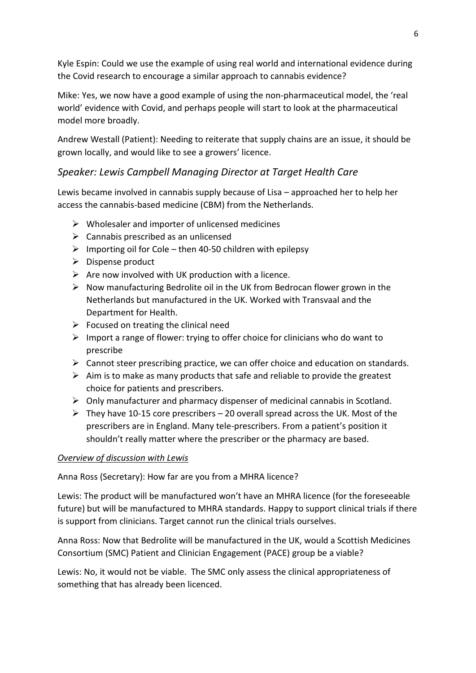Kyle Espin: Could we use the example of using real world and international evidence during the Covid research to encourage a similar approach to cannabis evidence?

Mike: Yes, we now have a good example of using the non-pharmaceutical model, the 'real world' evidence with Covid, and perhaps people will start to look at the pharmaceutical model more broadly.

Andrew Westall (Patient): Needing to reiterate that supply chains are an issue, it should be grown locally, and would like to see a growers' licence.

# *Speaker: Lewis Campbell Managing Director at Target Health Care*

Lewis became involved in cannabis supply because of Lisa – approached her to help her access the cannabis-based medicine (CBM) from the Netherlands.

- $\triangleright$  Wholesaler and importer of unlicensed medicines
- $\triangleright$  Cannabis prescribed as an unlicensed
- $\triangleright$  Importing oil for Cole then 40-50 children with epilepsy
- ➢ Dispense product
- $\triangleright$  Are now involved with UK production with a licence.
- ➢ Now manufacturing Bedrolite oil in the UK from Bedrocan flower grown in the Netherlands but manufactured in the UK. Worked with Transvaal and the Department for Health.
- $\triangleright$  Focused on treating the clinical need
- $\triangleright$  Import a range of flower: trying to offer choice for clinicians who do want to prescribe
- $\triangleright$  Cannot steer prescribing practice, we can offer choice and education on standards.
- $\triangleright$  Aim is to make as many products that safe and reliable to provide the greatest choice for patients and prescribers.
- $\triangleright$  Only manufacturer and pharmacy dispenser of medicinal cannabis in Scotland.
- $\triangleright$  They have 10-15 core prescribers 20 overall spread across the UK. Most of the prescribers are in England. Many tele-prescribers. From a patient's position it shouldn't really matter where the prescriber or the pharmacy are based.

# *Overview of discussion with Lewis*

Anna Ross (Secretary): How far are you from a MHRA licence?

Lewis: The product will be manufactured won't have an MHRA licence (for the foreseeable future) but will be manufactured to MHRA standards. Happy to support clinical trials if there is support from clinicians. Target cannot run the clinical trials ourselves.

Anna Ross: Now that Bedrolite will be manufactured in the UK, would a Scottish Medicines Consortium (SMC) Patient and Clinician Engagement (PACE) group be a viable?

Lewis: No, it would not be viable. The SMC only assess the clinical appropriateness of something that has already been licenced.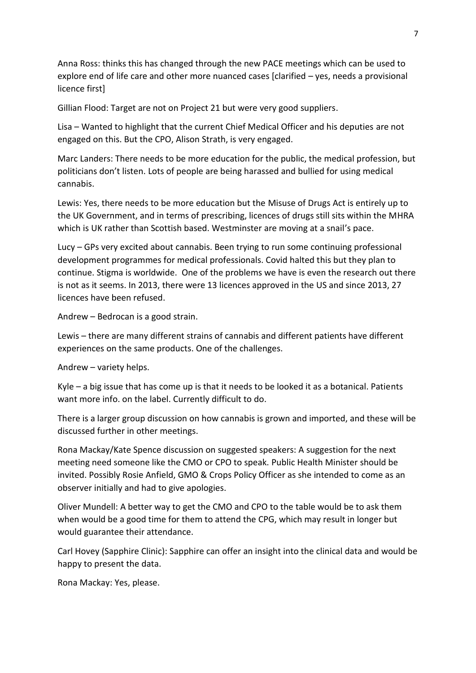Anna Ross: thinks this has changed through the new PACE meetings which can be used to explore end of life care and other more nuanced cases [clarified – yes, needs a provisional licence first]

Gillian Flood: Target are not on Project 21 but were very good suppliers.

Lisa – Wanted to highlight that the current Chief Medical Officer and his deputies are not engaged on this. But the CPO, Alison Strath, is very engaged.

Marc Landers: There needs to be more education for the public, the medical profession, but politicians don't listen. Lots of people are being harassed and bullied for using medical cannabis.

Lewis: Yes, there needs to be more education but the Misuse of Drugs Act is entirely up to the UK Government, and in terms of prescribing, licences of drugs still sits within the MHRA which is UK rather than Scottish based. Westminster are moving at a snail's pace.

Lucy – GPs very excited about cannabis. Been trying to run some continuing professional development programmes for medical professionals. Covid halted this but they plan to continue. Stigma is worldwide. One of the problems we have is even the research out there is not as it seems. In 2013, there were 13 licences approved in the US and since 2013, 27 licences have been refused.

Andrew – Bedrocan is a good strain.

Lewis – there are many different strains of cannabis and different patients have different experiences on the same products. One of the challenges.

Andrew – variety helps.

Kyle – a big issue that has come up is that it needs to be looked it as a botanical. Patients want more info. on the label. Currently difficult to do.

There is a larger group discussion on how cannabis is grown and imported, and these will be discussed further in other meetings.

Rona Mackay/Kate Spence discussion on suggested speakers: A suggestion for the next meeting need someone like the CMO or CPO to speak. Public Health Minister should be invited. Possibly Rosie Anfield, GMO & Crops Policy Officer as she intended to come as an observer initially and had to give apologies.

Oliver Mundell: A better way to get the CMO and CPO to the table would be to ask them when would be a good time for them to attend the CPG, which may result in longer but would guarantee their attendance.

Carl Hovey (Sapphire Clinic): Sapphire can offer an insight into the clinical data and would be happy to present the data.

Rona Mackay: Yes, please.